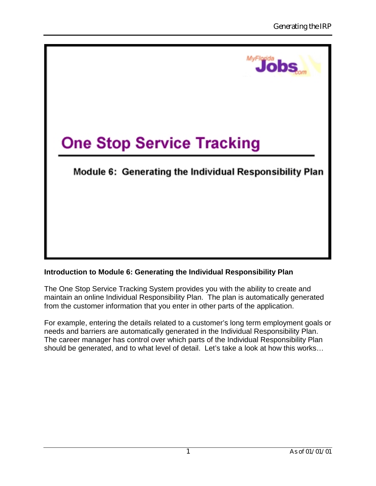

### **Introduction to Module 6: Generating the Individual Responsibility Plan**

The One Stop Service Tracking System provides you with the ability to create and maintain an online Individual Responsibility Plan. The plan is automatically generated from the customer information that you enter in other parts of the application.

For example, entering the details related to a customer's long term employment goals or needs and barriers are automatically generated in the Individual Responsibility Plan. The career manager has control over which parts of the Individual Responsibility Plan should be generated, and to what level of detail. Let's take a look at how this works…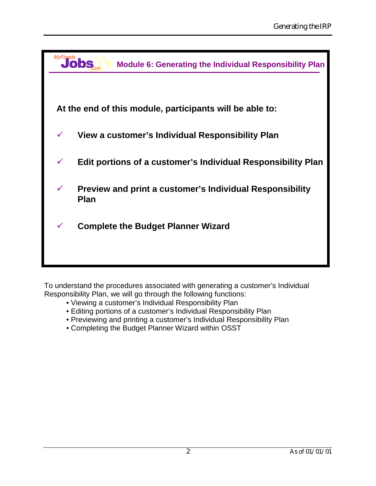| MyFlorida    | <b>Module 6: Generating the Individual Responsibility Plan</b>          |
|--------------|-------------------------------------------------------------------------|
|              |                                                                         |
|              | At the end of this module, participants will be able to:                |
| $\checkmark$ | View a customer's Individual Responsibility Plan                        |
| $\checkmark$ | Edit portions of a customer's Individual Responsibility Plan            |
| $\checkmark$ | Preview and print a customer's Individual Responsibility<br><b>Plan</b> |
|              | <b>Complete the Budget Planner Wizard</b>                               |
|              |                                                                         |

To understand the procedures associated with generating a customer's Individual Responsibility Plan, we will go through the following functions:

- •Viewing a customer's Individual Responsibility Plan
- •Editing portions of a customer's Individual Responsibility Plan
- •Previewing and printing a customer's Individual Responsibility Plan
- •Completing the Budget Planner Wizard within OSST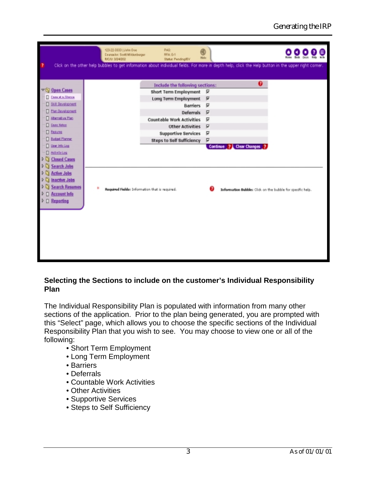

#### **Selecting the Sections to include on the customer's Individual Responsibility Plan**

The Individual Responsibility Plan is populated with information from many other sections of the application. Prior to the plan being generated, you are prompted with this "Select" page, which allows you to choose the specific sections of the Individual Responsibility Plan that you wish to see. You may choose to view one or all of the following:

- •Short Term Employment
- •Long Term Employment
- •Barriers
- •Deferrals
- •Countable Work Activities
- Other Activities
- •Supportive Services
- •Steps to Self Sufficiency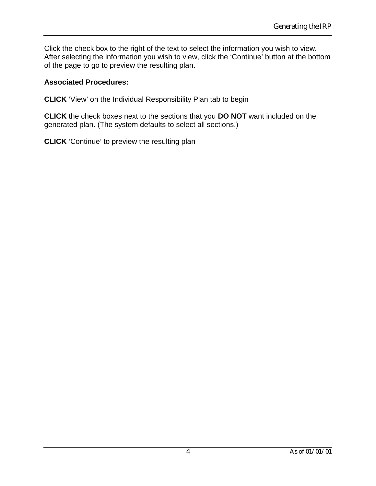Click the check box to the right of the text to select the information you wish to view. After selecting the information you wish to view, click the 'Continue' button at the bottom of the page to go to preview the resulting plan.

#### **Associated Procedures:**

**CLICK** 'View' on the Individual Responsibility Plan tab to begin

**CLICK** the check boxes next to the sections that you **DO NOT** want included on the generated plan. (The system defaults to select all sections.)

**CLICK** 'Continue' to preview the resulting plan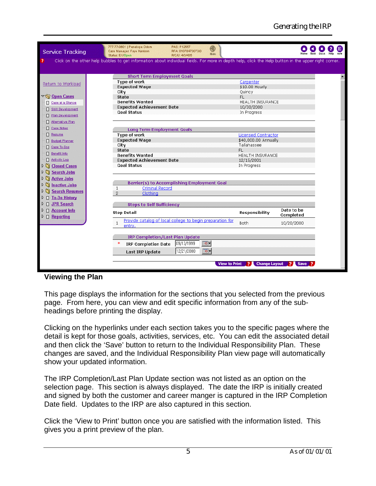| <b>Service Tracking</b>                             | 777-77-0601   Penelope Odom<br>PAS: P12557<br>◉<br>RFA: 01078470073/0<br>Case Manager: Faye Harrison<br>Hide<br>Status: EX/Open<br>R/C/U: 4/3/435    |                             |                         | Desk |
|-----------------------------------------------------|------------------------------------------------------------------------------------------------------------------------------------------------------|-----------------------------|-------------------------|------|
|                                                     | Click on the other help bubbles to get information about individual fields. For more in depth help, click the Help button in the upper right corner. |                             |                         |      |
|                                                     | <b>Short Term Employment Goals</b>                                                                                                                   |                             |                         |      |
| Return to Workload                                  | <b>Type of work</b>                                                                                                                                  | Carpenter                   |                         |      |
|                                                     | <b>Expected Wage</b>                                                                                                                                 | \$10.00 Hourly              |                         |      |
|                                                     | City                                                                                                                                                 | Quincy                      |                         |      |
| ▽ Open Cases                                        | <b>State</b>                                                                                                                                         | FL.                         |                         |      |
| □ Case at a Glance                                  | <b>Benefits Wanted</b>                                                                                                                               | HEALTH INSURANCE            |                         |      |
| Skill Development                                   | <b>Expected Achievement Date</b><br><b>Goal Status</b>                                                                                               | 10/30/2000                  |                         |      |
| Plan Development                                    |                                                                                                                                                      | In Progress                 |                         |      |
| Alternative Plan                                    |                                                                                                                                                      |                             |                         |      |
| <b>Case Notes</b>                                   |                                                                                                                                                      |                             |                         |      |
| Resume                                              | <b>Long Term Employment Goals</b><br><b>Type of work</b>                                                                                             | <b>Licensed Contractor</b>  |                         |      |
|                                                     | <b>Expected Wage</b>                                                                                                                                 | \$40,000.00 Annually        |                         |      |
| <b>Budget Planner</b>                               | City                                                                                                                                                 | Tallahassee                 |                         |      |
| Case To-Dos                                         | <b>State</b>                                                                                                                                         | FL.                         |                         |      |
| Benefit Info                                        | <b>Benefits Wanted</b>                                                                                                                               | <b>HEALTH INSURANCE</b>     |                         |      |
| <b>El</b> Activity Log                              | <b>Expected Achievement Date</b>                                                                                                                     | 12/15/2001                  |                         |      |
| n<br><b>Closed Cases</b><br>D.                      | <b>Goal Status</b>                                                                                                                                   | In Progress                 |                         |      |
| J)<br><b>Search Jobs</b>                            |                                                                                                                                                      |                             |                         |      |
| <b>Active Jobs</b><br>N                             |                                                                                                                                                      |                             |                         |      |
| n<br><b>Inactive Jobs</b><br>$\triangleright$       | Barrier(s) to Accomplishing Employment Goal                                                                                                          |                             |                         |      |
| n<br><b>Search Resumes</b><br>$\triangleright$      | <b>Criminal Record</b><br>$\mathbf{1}$                                                                                                               |                             |                         |      |
|                                                     | $\overline{2}$<br>Clothina                                                                                                                           |                             |                         |      |
| □ To-Do History<br>▷                                |                                                                                                                                                      |                             |                         |      |
| □ JPR Search<br>▷                                   | <b>Steps to Self Sufficiency</b>                                                                                                                     |                             |                         |      |
| □ Account Info<br>$\triangleright$ $\Box$ Reporting | <b>Step Detail</b>                                                                                                                                   | Responsibility              | Date to be<br>Completed |      |
|                                                     | Provide catalog of local college to begin preparation for<br>$\mathbf{1}$<br>entry.                                                                  | Both                        | 10/20/2000              |      |
|                                                     | IRP Completion/Last Plan Update                                                                                                                      |                             |                         |      |
|                                                     | ত-<br>09/13/1999<br>×<br><b>IRP Completion Date</b>                                                                                                  |                             |                         |      |
|                                                     | $\overline{\bullet}$<br>12/21/2000<br>Last IRP Update                                                                                                |                             |                         |      |
|                                                     | <b>View to Print</b>                                                                                                                                 | <b>Change Layout</b><br>- 2 | Save ?<br>- 27          |      |

#### **Viewing the Plan**

This page displays the information for the sections that you selected from the previous page. From here, you can view and edit specific information from any of the subheadings before printing the display.

Clicking on the hyperlinks under each section takes you to the specific pages where the detail is kept for those goals, activities, services, etc. You can edit the associated detail and then click the 'Save' button to return to the Individual Responsibility Plan. These changes are saved, and the Individual Responsibility Plan view page will automatically show your updated information.

The IRP Completion/Last Plan Update section was not listed as an option on the selection page. This section is always displayed. The date the IRP is initially created and signed by both the customer and career manger is captured in the IRP Completion Date field. Updates to the IRP are also captured in this section.

Click the 'View to Print' button once you are satisfied with the information listed. This gives you a print preview of the plan.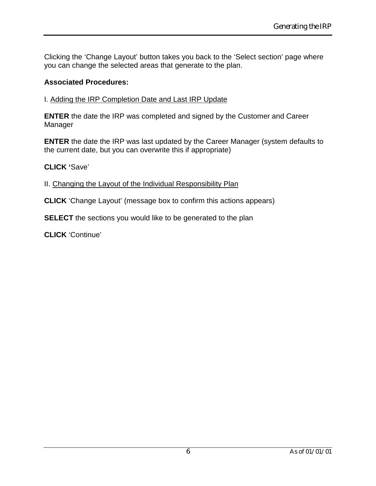Clicking the 'Change Layout' button takes you back to the 'Select section' page where you can change the selected areas that generate to the plan.

#### **Associated Procedures:**

#### I. Adding the IRP Completion Date and Last IRP Update

**ENTER** the date the IRP was completed and signed by the Customer and Career Manager

**ENTER** the date the IRP was last updated by the Career Manager (system defaults to the current date, but you can overwrite this if appropriate)

**CLICK '**Save'

#### II. Changing the Layout of the Individual Responsibility Plan

**CLICK** 'Change Layout' (message box to confirm this actions appears)

**SELECT** the sections you would like to be generated to the plan

**CLICK** 'Continue'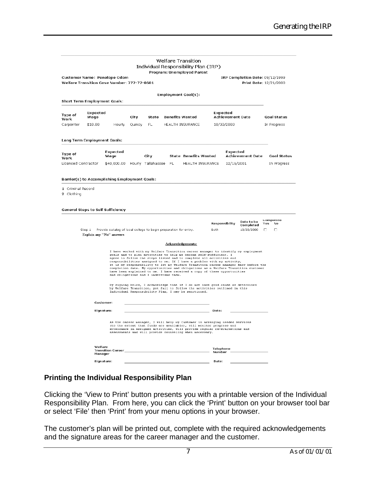|                                     |                          |                                                                             |        | Individual Responsibility Plan (IRP) |                                        |                                                                                                                                                                                                                                                                                                                                                                                                                                                                                                                                                                  |           |                              |                                       |                                       |
|-------------------------------------|--------------------------|-----------------------------------------------------------------------------|--------|--------------------------------------|----------------------------------------|------------------------------------------------------------------------------------------------------------------------------------------------------------------------------------------------------------------------------------------------------------------------------------------------------------------------------------------------------------------------------------------------------------------------------------------------------------------------------------------------------------------------------------------------------------------|-----------|------------------------------|---------------------------------------|---------------------------------------|
|                                     |                          |                                                                             |        |                                      |                                        | Program: Unemployed Parent                                                                                                                                                                                                                                                                                                                                                                                                                                                                                                                                       |           |                              |                                       |                                       |
|                                     |                          | Customer Name: Penelope Odom<br>Welfare Transition Case Number: 777-77-0601 |        |                                      |                                        |                                                                                                                                                                                                                                                                                                                                                                                                                                                                                                                                                                  |           |                              | IRP Completion Date: 09/12/1999       | Print Date: 12/21/2000                |
|                                     |                          |                                                                             |        |                                      |                                        | Employment Goal(s):                                                                                                                                                                                                                                                                                                                                                                                                                                                                                                                                              |           |                              |                                       |                                       |
| <b>Short Term Employment Goals:</b> |                          |                                                                             |        |                                      |                                        |                                                                                                                                                                                                                                                                                                                                                                                                                                                                                                                                                                  |           |                              |                                       |                                       |
| Type of<br>Work                     | Expected<br>Wage         |                                                                             | City   | State                                | <b>Benefits Wanted</b>                 |                                                                                                                                                                                                                                                                                                                                                                                                                                                                                                                                                                  |           | Expected<br>Achievement Date |                                       | <b>Goal Status</b>                    |
| Carpenter                           | \$10.00                  | Hourly                                                                      | Quincy | FL.                                  |                                        | HEALTH INSURANCE                                                                                                                                                                                                                                                                                                                                                                                                                                                                                                                                                 |           | 10/30/2000                   |                                       | In Progress                           |
| <b>Long Term Employment Goals:</b>  |                          |                                                                             |        |                                      |                                        |                                                                                                                                                                                                                                                                                                                                                                                                                                                                                                                                                                  |           |                              |                                       |                                       |
| Type of<br>Work                     |                          | Expected<br>Wage                                                            |        | City                                 |                                        | State Benefits Wanted                                                                                                                                                                                                                                                                                                                                                                                                                                                                                                                                            |           | Expected                     | <b>Achievement Date</b>               | <b>Goal Status</b>                    |
| Licensed Contractor                 |                          | \$40,000.00                                                                 |        | Hourly Tallahassee                   | FL.                                    | HEALTH INSURANCE                                                                                                                                                                                                                                                                                                                                                                                                                                                                                                                                                 |           | 12/15/2001                   |                                       | In Progress                           |
|                                     |                          |                                                                             |        |                                      |                                        |                                                                                                                                                                                                                                                                                                                                                                                                                                                                                                                                                                  |           |                              |                                       |                                       |
|                                     | 1 Criminal Record        | General Steps to Self Sufficiency                                           |        |                                      |                                        |                                                                                                                                                                                                                                                                                                                                                                                                                                                                                                                                                                  |           |                              |                                       |                                       |
| 2 Clothing                          | Step 1                   | Provide catalog of local college to begin preparation for entry.            |        |                                      |                                        |                                                                                                                                                                                                                                                                                                                                                                                                                                                                                                                                                                  | Both      | Responsibility               | Date to be<br>Completed<br>10/20/2000 | completed<br>Yes<br>No<br>П<br>$\Box$ |
|                                     | Explain any "No" answers |                                                                             |        |                                      |                                        | Acknowledgements:                                                                                                                                                                                                                                                                                                                                                                                                                                                                                                                                                |           |                              |                                       |                                       |
|                                     |                          |                                                                             |        |                                      | and obligations and I understand them. | I have worked with my Welfare Transition career manager to identify my employment<br>goals and to plan activities to help me become self-sufficient. I<br>agree to follow the steps listed and to complete all activities and<br>responsibilities assigned to me. If I have a problem with my activity,<br>it is my responsibility to let my Welfare Transition career manager know before the<br>completion date. My opportunities and obligations as a Welfare Transition customer<br>have been explained to me. I have received a copy of these opportunities |           |                              |                                       |                                       |
|                                     |                          |                                                                             |        |                                      |                                        | By signing below, I acknowledge that if I do not have good cause as determined<br>by Welfare Transition, yet fail to follow the activities outlined in this<br>Individual Responsibility Plan, I may be sanctioned.                                                                                                                                                                                                                                                                                                                                              |           |                              |                                       |                                       |
|                                     | Customer:                |                                                                             |        |                                      |                                        |                                                                                                                                                                                                                                                                                                                                                                                                                                                                                                                                                                  |           |                              |                                       |                                       |
|                                     | Signature:               |                                                                             |        |                                      |                                        |                                                                                                                                                                                                                                                                                                                                                                                                                                                                                                                                                                  | Date:     |                              |                                       |                                       |
|                                     |                          |                                                                             |        |                                      |                                        | As the career manager, I will help my Customer in arranging needed services<br>(to the extent that funds are available), will monitor progress and<br>attendance in assigned activities, will provide regular re-evaluations and<br>assessments and will provide counseling when necessary.                                                                                                                                                                                                                                                                      |           |                              |                                       |                                       |
|                                     | Welfare                  | <b>Transition Career</b>                                                    |        |                                      |                                        |                                                                                                                                                                                                                                                                                                                                                                                                                                                                                                                                                                  | Telephone |                              |                                       |                                       |

#### **Printing the Individual Responsibility Plan**

Clicking the 'View to Print' button presents you with a printable version of the Individual Responsibility Plan. From here, you can click the 'Print' button on your browser tool bar or select 'File' then 'Print' from your menu options in your browser.

The customer's plan will be printed out, complete with the required acknowledgements and the signature areas for the career manager and the customer.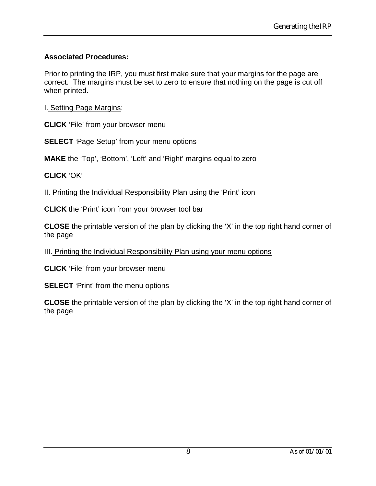## **Associated Procedures:**

Prior to printing the IRP, you must first make sure that your margins for the page are correct. The margins must be set to zero to ensure that nothing on the page is cut off when printed.

I. Setting Page Margins:

**CLICK** 'File' from your browser menu

**SELECT** 'Page Setup' from your menu options

**MAKE** the 'Top', 'Bottom', 'Left' and 'Right' margins equal to zero

**CLICK** 'OK'

II. Printing the Individual Responsibility Plan using the 'Print' icon

**CLICK** the 'Print' icon from your browser tool bar

**CLOSE** the printable version of the plan by clicking the 'X' in the top right hand corner of the page

III. Printing the Individual Responsibility Plan using your menu options

**CLICK** 'File' from your browser menu

**SELECT** 'Print' from the menu options

**CLOSE** the printable version of the plan by clicking the 'X' in the top right hand corner of the page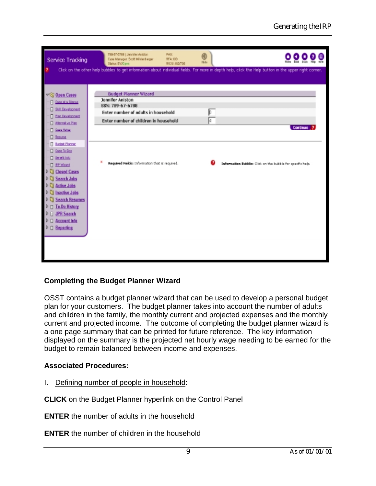| Service Tracking                                                                                                                                                                                                                                                                                                                                 | 799-57-5789   Jeanifer Aniston<br>Case Manager: Scott Mildenberger<br>Status: EV/Open                                                                                                                         | PAS:<br><b>RFA: DD</b><br>High<br>R/C/U: R/2/700 | Click on the other help bubbles to get information about individual fields. For more in depth help, click the Help button in the upper right comer. |
|--------------------------------------------------------------------------------------------------------------------------------------------------------------------------------------------------------------------------------------------------------------------------------------------------------------------------------------------------|---------------------------------------------------------------------------------------------------------------------------------------------------------------------------------------------------------------|--------------------------------------------------|-----------------------------------------------------------------------------------------------------------------------------------------------------|
| ▽ Sy Open Cases<br><b>Case at a Blance</b><br><b>El Still Development</b><br><b>Ban Druskspreet</b><br><b>Bienalive Plan</b><br><b>Case Notes</b><br><b>C</b> Besure<br><b>Budget Planner</b><br><b>Case To Box</b><br><b>District Info</b><br><b>D RP Word</b><br><b>Q</b> Closed Cases<br>Search Jobs<br>C Active Jons<br><b>Inactive Jobs</b> | <b>Budget Planner Wizard</b><br><b>Jennifer Aniston</b><br>SSN: 789-67-6788<br>Enter number of adults in household<br>Enter number of children in household<br>Required Fields: Information that is required. | u                                                | Continue ?<br>Information Bubble: Click on the bubble for specific help.                                                                            |
| <b>Search Resumes</b><br>To-Do History<br><b>JPR Search</b><br><b>Account Info</b><br><b>E</b> Reporting                                                                                                                                                                                                                                         |                                                                                                                                                                                                               |                                                  |                                                                                                                                                     |

## **Completing the Budget Planner Wizard**

OSST contains a budget planner wizard that can be used to develop a personal budget plan for your customers. The budget planner takes into account the number of adults and children in the family, the monthly current and projected expenses and the monthly current and projected income. The outcome of completing the budget planner wizard is a one page summary that can be printed for future reference. The key information displayed on the summary is the projected net hourly wage needing to be earned for the budget to remain balanced between income and expenses.

#### **Associated Procedures:**

I. Defining number of people in household:

**CLICK** on the Budget Planner hyperlink on the Control Panel

**ENTER** the number of adults in the household

**ENTER** the number of children in the household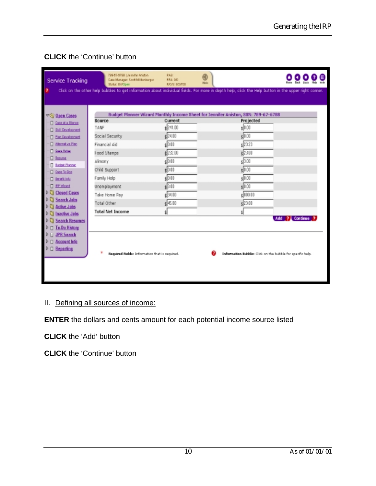# **CLICK** the 'Continue' button

| Service Tracking                              | 799-57-5799   Jeanifer Aniston<br>Case Manager: Scott Mildenberger<br>Status: EV/Open                                                               | PAG:<br><b>RFA: DD</b><br>R/C/U: R/2/708 | Highe |                                                            |  |
|-----------------------------------------------|-----------------------------------------------------------------------------------------------------------------------------------------------------|------------------------------------------|-------|------------------------------------------------------------|--|
|                                               | Click on the other help bubbles to get information about individual fields. For more in depth help, click the Help button in the upper right comer. |                                          |       |                                                            |  |
| ▽ Sy Open Cases                               | Budget Planner Wizard Monthly Income Sheet for Jennifer Aniston, SSN: 789-67-6788                                                                   |                                          |       |                                                            |  |
| Case at a Blance                              | Source                                                                                                                                              | Current                                  |       | Projected                                                  |  |
| <b>E Still Development</b>                    | TANF                                                                                                                                                | $e$ 241.00                               |       | 10.00                                                      |  |
| <b>Ban Development</b>                        | Social Security                                                                                                                                     | e24.00                                   |       | 10.00                                                      |  |
| <b>Blenstive Plan</b>                         | Financial Aid                                                                                                                                       | g 0.00                                   |       | 12323                                                      |  |
| <b>T</b> Case Notes                           | Food Stamps                                                                                                                                         | 123200                                   |       | 123.01                                                     |  |
| <b>D</b> Resume<br><b>Budget Planner</b>      | Alimony                                                                                                                                             | $s$ 0.00                                 |       | \$3.00                                                     |  |
| C Care To Box                                 | Child Support                                                                                                                                       | 10.01                                    |       | \$0.00                                                     |  |
| <b>El benefit into</b>                        | Family Help                                                                                                                                         | eloon                                    |       | 1001                                                       |  |
| <b>D</b> RP Word                              | Unemployment                                                                                                                                        | $+3.00$                                  |       | 10.00                                                      |  |
| <b>Q</b> Closed Cases                         | Take Home Pay                                                                                                                                       | el34.00                                  |       | $d$ 800.00                                                 |  |
| Search Jobs                                   | Total Other                                                                                                                                         | $5 - 6.00$                               |       | \$23.01                                                    |  |
| <b>Active Jobs</b>                            | <b>Total Net Income</b>                                                                                                                             |                                          |       |                                                            |  |
| <b>Inactive Jobs</b><br><b>Search Resumes</b> |                                                                                                                                                     |                                          |       | Add <b>21 Continue</b> 2                                   |  |
| To-Da History                                 |                                                                                                                                                     |                                          |       |                                                            |  |
| <b>JPR</b> Search                             |                                                                                                                                                     |                                          |       |                                                            |  |
| Account Info                                  |                                                                                                                                                     |                                          |       |                                                            |  |
| $\triangleright$ $\Box$ Reporting             |                                                                                                                                                     |                                          |       |                                                            |  |
|                                               | Required Fields: Information that is required.                                                                                                      |                                          |       | Information Bubble: Click on the bubble for specific help. |  |
|                                               |                                                                                                                                                     |                                          |       |                                                            |  |
|                                               |                                                                                                                                                     |                                          |       |                                                            |  |
|                                               |                                                                                                                                                     |                                          |       |                                                            |  |

II. Defining all sources of income:

**ENTER** the dollars and cents amount for each potential income source listed

**CLICK** the 'Add' button

**CLICK** the 'Continue' button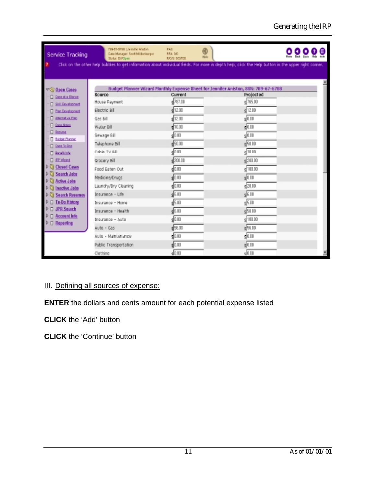| Service Tracking                                                                | 799-67-6799   Jeanifer Aniston<br>Case Manager: Scott Mildenberger<br>Status: EV/Open | PAS:<br>RFA: 00<br>RIC/U: 0/2/700 | C<br>Histo                                                                         |                                                                                                                                                     |  |
|---------------------------------------------------------------------------------|---------------------------------------------------------------------------------------|-----------------------------------|------------------------------------------------------------------------------------|-----------------------------------------------------------------------------------------------------------------------------------------------------|--|
|                                                                                 |                                                                                       |                                   |                                                                                    | Click on the other help bubbles to get information about individual fields. For more in depth help, click the Help button in the upper right comer. |  |
| <b>VS Open Cases</b>                                                            | Source                                                                                | Current                           | Budget Planner Wizard Monthly Expense Sheet for Jennifer Aniston, SSN: 789-67-6788 | Projected                                                                                                                                           |  |
| <b>Care at a Blance</b>                                                         | House Payment                                                                         | 1787.00                           |                                                                                    | \$765.00                                                                                                                                            |  |
| Skill Development<br><b>T</b> Ran Development                                   | Electric Bill                                                                         | 12.01                             |                                                                                    | 1200                                                                                                                                                |  |
| <b>Blend ve Plan</b>                                                            | Gas Nil                                                                               | 12.00                             |                                                                                    | \$0.00                                                                                                                                              |  |
| <b>T</b> Care Notes                                                             | Water Bill                                                                            | 10.00                             |                                                                                    | \$0.00                                                                                                                                              |  |
| <b>D</b> Berume                                                                 | Sewage Bill                                                                           | 10.00                             |                                                                                    | \$0.00                                                                                                                                              |  |
| <b>Budget Planner</b>                                                           | Telephone Bill                                                                        | \$50.01                           |                                                                                    | \$50.00                                                                                                                                             |  |
| <b>Care To Box</b>                                                              | Cable TV Bill                                                                         | dooo                              |                                                                                    | 130.00                                                                                                                                              |  |
| <b>El Banafit Info</b>                                                          |                                                                                       |                                   |                                                                                    |                                                                                                                                                     |  |
| <b>D</b> RP Wood<br>I Q Closed Cases                                            | Grocery Bill                                                                          | $e^{200.00}$                      |                                                                                    | \$201.00                                                                                                                                            |  |
| <b>D</b> Search Jobs                                                            | Food Eaten Out                                                                        | d000                              |                                                                                    | \$101.00                                                                                                                                            |  |
| I Q Active Jobs                                                                 | Medicine/Drugs                                                                        | 10.00                             |                                                                                    | 5000                                                                                                                                                |  |
| <b>D</b> Inactive Jobs                                                          | Laundry/Dry Cleaning                                                                  | 10.01                             |                                                                                    | \$ 20.00                                                                                                                                            |  |
| <b>DES</b> Search Resumes                                                       | Insurance - Life                                                                      | \$6.00                            |                                                                                    | \$6.00                                                                                                                                              |  |
| ▷ □ To-Do History<br>▶ □ JPR Search<br>▷ □ Account Info<br><b>▷ □ Reporting</b> | Insurance - Home                                                                      | \$5.01                            |                                                                                    | \$5.00                                                                                                                                              |  |
|                                                                                 | Insurance - Health                                                                    | 46.00                             |                                                                                    | \$50.00                                                                                                                                             |  |
|                                                                                 | Insurance - Auto                                                                      | d0.00                             |                                                                                    | 101.00                                                                                                                                              |  |
|                                                                                 | Auto - Gas                                                                            | \$56.00                           |                                                                                    | \$ 56.00                                                                                                                                            |  |
|                                                                                 | Auto - Maintenance                                                                    | 10.00                             |                                                                                    | 10.00                                                                                                                                               |  |
|                                                                                 | Public Transportation                                                                 | 10.00                             |                                                                                    | 500                                                                                                                                                 |  |
|                                                                                 | Clothing                                                                              | d000                              |                                                                                    | $+0.00$                                                                                                                                             |  |

# III. Defining all sources of expense:

**ENTER** the dollars and cents amount for each potential expense listed

**CLICK** the 'Add' button

**CLICK** the 'Continue' button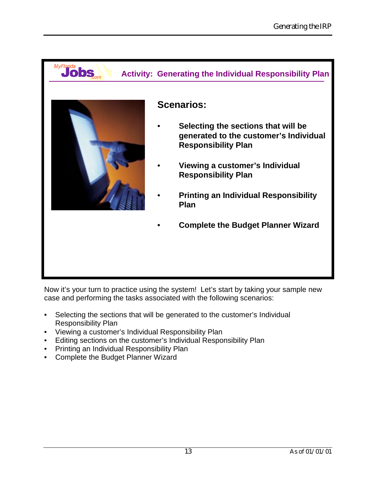

Now it's your turn to practice using the system! Let's start by taking your sample new case and performing the tasks associated with the following scenarios:

- Selecting the sections that will be generated to the customer's Individual Responsibility Plan
- Viewing a customer's Individual Responsibility Plan
- Editing sections on the customer's Individual Responsibility Plan
- Printing an Individual Responsibility Plan
- Complete the Budget Planner Wizard